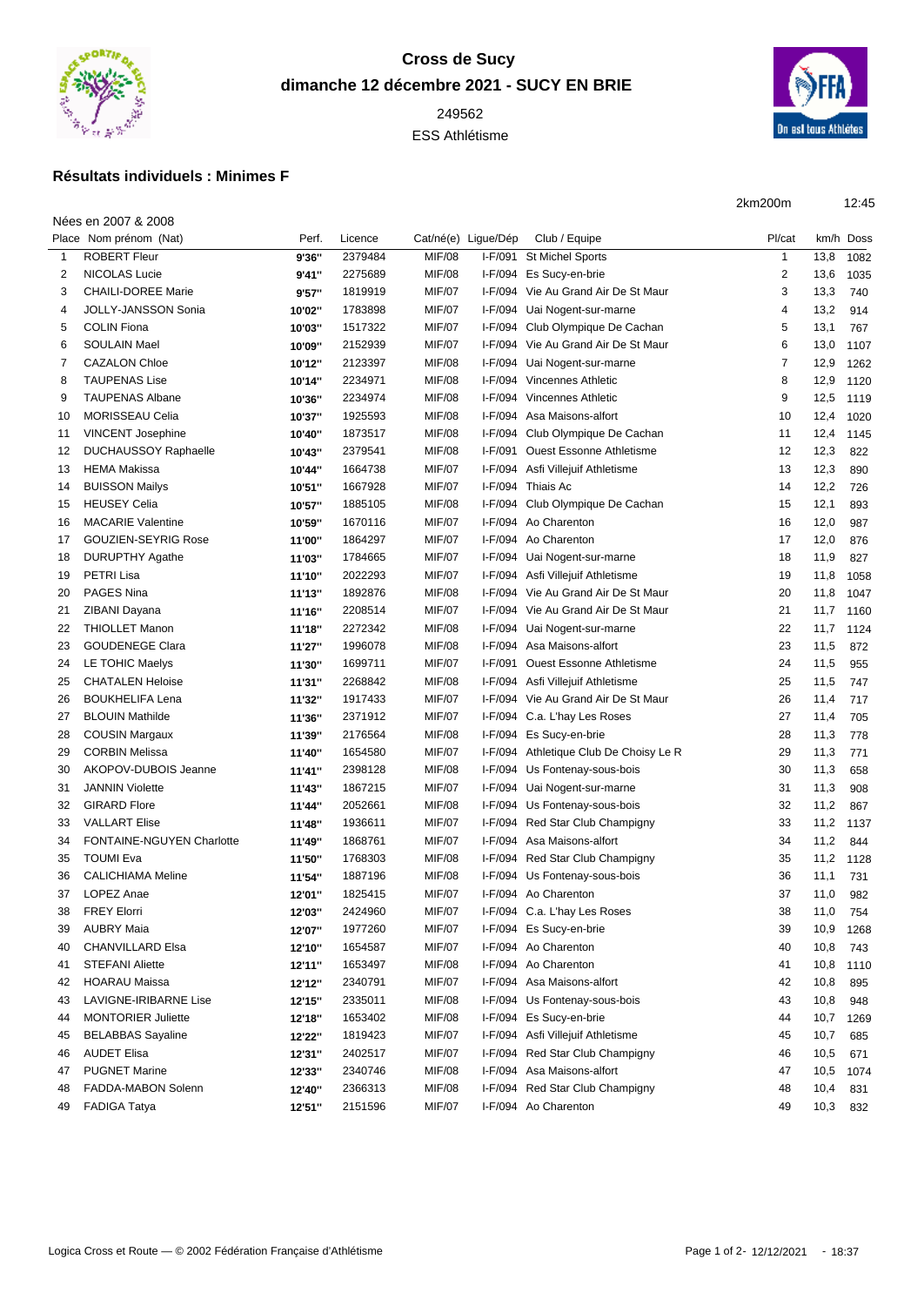

## **Cross de Sucy dimanche 12 décembre 2021 - SUCY EN BRIE**

ESS Athlétisme



## **Résultats individuels : Minimes F**

2km200m 12:45

|    | Nées en 2007 & 2008         |        |         |               |                     |                                        |                |      |           |
|----|-----------------------------|--------|---------|---------------|---------------------|----------------------------------------|----------------|------|-----------|
|    | Place Nom prénom (Nat)      | Perf.  | Licence |               | Cat/né(e) Ligue/Dép | Club / Equipe                          | Pl/cat         |      | km/h Doss |
| 1  | <b>ROBERT Fleur</b>         | 9'36"  | 2379484 | <b>MIF/08</b> | I-F/091             | <b>St Michel Sports</b>                | 1              | 13,8 | 1082      |
| 2  | <b>NICOLAS Lucie</b>        | 9'41"  | 2275689 | <b>MIF/08</b> |                     | I-F/094 Es Sucy-en-brie                | $\overline{2}$ | 13,6 | 1035      |
| 3  | <b>CHAILI-DOREE Marie</b>   | 9'57"  | 1819919 | <b>MIF/07</b> |                     | I-F/094 Vie Au Grand Air De St Maur    | 3              | 13,3 | 740       |
| 4  | JOLLY-JANSSON Sonia         | 10'02" | 1783898 | <b>MIF/07</b> |                     | I-F/094 Uai Nogent-sur-marne           | 4              | 13,2 | 914       |
| 5  | <b>COLIN Fiona</b>          | 10'03" | 1517322 | <b>MIF/07</b> |                     | I-F/094 Club Olympique De Cachan       | 5              | 13,1 | 767       |
| 6  | <b>SOULAIN Mael</b>         | 10'09" | 2152939 | <b>MIF/07</b> |                     | I-F/094 Vie Au Grand Air De St Maur    | 6              | 13,0 | 1107      |
| 7  | <b>CAZALON Chloe</b>        | 10'12" | 2123397 | <b>MIF/08</b> |                     | I-F/094 Uai Nogent-sur-marne           | 7              | 12,9 | 1262      |
| 8  | <b>TAUPENAS Lise</b>        | 10'14" | 2234971 | <b>MIF/08</b> |                     | I-F/094 Vincennes Athletic             | 8              | 12,9 | 1120      |
| 9  | <b>TAUPENAS Albane</b>      | 10'36" | 2234974 | <b>MIF/08</b> | I-F/094             | Vincennes Athletic                     | 9              | 12,5 | 1119      |
| 10 | <b>MORISSEAU Celia</b>      | 10'37" | 1925593 | <b>MIF/08</b> |                     | I-F/094 Asa Maisons-alfort             | 10             | 12,4 | 1020      |
| 11 | <b>VINCENT Josephine</b>    | 10'40" | 1873517 | <b>MIF/08</b> |                     | I-F/094 Club Olympique De Cachan       | 11             | 12,4 | 1145      |
| 12 | <b>DUCHAUSSOY Raphaelle</b> | 10'43" | 2379541 | <b>MIF/08</b> | I-F/091             | <b>Ouest Essonne Athletisme</b>        | 12             | 12,3 | 822       |
| 13 | <b>HEMA Makissa</b>         | 10'44" | 1664738 | <b>MIF/07</b> |                     | I-F/094 Asfi Villejuif Athletisme      | 13             | 12,3 | 890       |
| 14 | <b>BUISSON Mailys</b>       | 10'51" | 1667928 | <b>MIF/07</b> |                     | I-F/094 Thiais Ac                      | 14             | 12,2 | 726       |
| 15 | <b>HEUSEY Celia</b>         | 10'57" | 1885105 | <b>MIF/08</b> |                     | I-F/094 Club Olympique De Cachan       | 15             | 12,1 | 893       |
| 16 | <b>MACARIE Valentine</b>    | 10'59" | 1670116 | <b>MIF/07</b> |                     | I-F/094 Ao Charenton                   | 16             | 12,0 | 987       |
| 17 | <b>GOUZIEN-SEYRIG Rose</b>  | 11'00" | 1864297 | <b>MIF/07</b> |                     | I-F/094 Ao Charenton                   | 17             | 12,0 | 876       |
| 18 | <b>DURUPTHY Agathe</b>      | 11'03" | 1784665 | <b>MIF/07</b> |                     | I-F/094 Uai Nogent-sur-marne           | 18             | 11,9 | 827       |
| 19 | PETRI Lisa                  | 11'10" | 2022293 | <b>MIF/07</b> |                     | I-F/094 Asfi Villejuif Athletisme      | 19             | 11,8 | 1058      |
| 20 | PAGES Nina                  | 11'13" | 1892876 | <b>MIF/08</b> | I-F/094             | Vie Au Grand Air De St Maur            | 20             | 11,8 | 1047      |
| 21 | ZIBANI Dayana               | 11'16" | 2208514 | <b>MIF/07</b> | I-F/094             | Vie Au Grand Air De St Maur            | 21             | 11,7 | 1160      |
| 22 | <b>THIOLLET Manon</b>       | 11'18" | 2272342 | <b>MIF/08</b> |                     | I-F/094 Uai Nogent-sur-marne           | 22             | 11,7 | 1124      |
| 23 | <b>GOUDENEGE Clara</b>      | 11'27" | 1996078 | <b>MIF/08</b> |                     | I-F/094 Asa Maisons-alfort             | 23             | 11,5 | 872       |
| 24 | LE TOHIC Maelys             | 11'30" | 1699711 | <b>MIF/07</b> |                     | I-F/091 Ouest Essonne Athletisme       | 24             | 11,5 | 955       |
| 25 | <b>CHATALEN Heloise</b>     | 11'31" | 2268842 | <b>MIF/08</b> |                     | I-F/094 Asfi Villejuif Athletisme      | 25             | 11,5 | 747       |
| 26 | <b>BOUKHELIFA Lena</b>      | 11'32" | 1917433 | <b>MIF/07</b> |                     | I-F/094 Vie Au Grand Air De St Maur    | 26             | 11,4 | 717       |
| 27 | <b>BLOUIN Mathilde</b>      | 11'36" | 2371912 | <b>MIF/07</b> |                     | I-F/094 C.a. L'hay Les Roses           | 27             | 11,4 | 705       |
| 28 | <b>COUSIN Margaux</b>       | 11'39" | 2176564 | <b>MIF/08</b> |                     | I-F/094 Es Sucy-en-brie                | 28             | 11,3 | 778       |
| 29 | <b>CORBIN Melissa</b>       | 11'40" | 1654580 | <b>MIF/07</b> |                     | I-F/094 Athletique Club De Choisy Le R | 29             | 11,3 | 771       |
| 30 | AKOPOV-DUBOIS Jeanne        | 11'41" | 2398128 | <b>MIF/08</b> | I-F/094             | Us Fontenay-sous-bois                  | 30             | 11,3 | 658       |
| 31 | <b>JANNIN Violette</b>      | 11'43" | 1867215 | <b>MIF/07</b> | I-F/094             | Uai Nogent-sur-marne                   | 31             | 11,3 | 908       |
| 32 | <b>GIRARD Flore</b>         | 11'44" | 2052661 | <b>MIF/08</b> | I-F/094             | Us Fontenay-sous-bois                  | 32             | 11,2 | 867       |
| 33 | <b>VALLART Elise</b>        | 11'48" | 1936611 | <b>MIF/07</b> |                     | I-F/094 Red Star Club Champigny        | 33             | 11,2 | 1137      |
| 34 | FONTAINE-NGUYEN Charlotte   | 11'49" | 1868761 | <b>MIF/07</b> |                     | I-F/094 Asa Maisons-alfort             | 34             | 11,2 | 844       |
| 35 | <b>TOUMI Eva</b>            | 11'50" | 1768303 | <b>MIF/08</b> |                     | I-F/094 Red Star Club Champigny        | 35             | 11,2 | 1128      |
| 36 | <b>CALICHIAMA Meline</b>    | 11'54" | 1887196 | <b>MIF/08</b> |                     | I-F/094 Us Fontenay-sous-bois          | 36             | 11,1 | 731       |
| 37 | LOPEZ Anae                  | 12'01" | 1825415 | <b>MIF/07</b> |                     | I-F/094 Ao Charenton                   | 37             | 11,0 | 982       |
| 38 | <b>FREY Elorri</b>          | 12'03" | 2424960 | <b>MIF/07</b> |                     | I-F/094 C.a. L'hay Les Roses           | 38             | 11,0 | 754       |
| 39 | <b>AUBRY Maia</b>           | 12'07" | 1977260 | <b>MIF/07</b> |                     | I-F/094 Es Sucy-en-brie                | 39             | 10,9 | 1268      |
| 40 | <b>CHANVILLARD Elsa</b>     | 12'10" | 1654587 | <b>MIF/07</b> |                     | I-F/094 Ao Charenton                   | 40             | 10,8 | 743       |
| 41 | <b>STEFANI Aliette</b>      | 12'11" | 1653497 | <b>MIF/08</b> |                     | I-F/094 Ao Charenton                   | 41             | 10,8 | 1110      |
| 42 | <b>HOARAU Maissa</b>        | 12'12" | 2340791 | <b>MIF/07</b> |                     | I-F/094 Asa Maisons-alfort             | 42             | 10,8 | 895       |
| 43 | LAVIGNE-IRIBARNE Lise       | 12'15" | 2335011 | <b>MIF/08</b> |                     | I-F/094 Us Fontenay-sous-bois          | 43             | 10,8 | 948       |
| 44 | <b>MONTORIER Juliette</b>   | 12'18" | 1653402 | <b>MIF/08</b> |                     | I-F/094 Es Sucy-en-brie                | 44             | 10,7 | 1269      |
| 45 | <b>BELABBAS Sayaline</b>    | 12'22" | 1819423 | <b>MIF/07</b> |                     | I-F/094 Asfi Villejuif Athletisme      | 45             | 10,7 | 685       |
| 46 | <b>AUDET Elisa</b>          | 12'31" | 2402517 | <b>MIF/07</b> |                     | I-F/094 Red Star Club Champigny        | 46             | 10,5 | 671       |
| 47 | <b>PUGNET Marine</b>        | 12'33" | 2340746 | <b>MIF/08</b> |                     | I-F/094 Asa Maisons-alfort             | 47             | 10,5 | 1074      |
| 48 | FADDA-MABON Solenn          | 12'40" | 2366313 | <b>MIF/08</b> |                     | I-F/094 Red Star Club Champigny        | 48             | 10,4 | 831       |
| 49 | <b>FADIGA Tatya</b>         | 12'51" | 2151596 | <b>MIF/07</b> |                     | I-F/094 Ao Charenton                   | 49             | 10,3 | 832       |
|    |                             |        |         |               |                     |                                        |                |      |           |